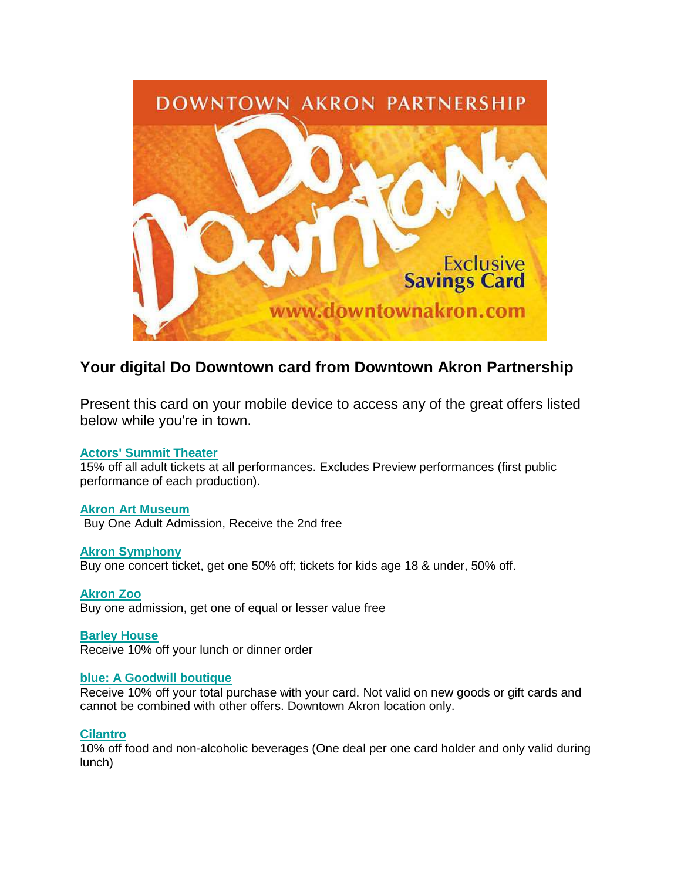

# **Your digital Do Downtown card from Downtown Akron Partnership**

Present this card on your mobile device to access any of the great offers listed below while you're in town.

## **Actors' [Summit](http://www.downtownakron.com/go/actors-summit) Theater**

15% off all adult tickets at all performances. Excludes Preview performances (first public performance of each production).

**Akron Art [Museum](http://www.downtownakron.com/go/akron-art-museum)** Buy One Adult Admission, Receive the 2nd free

**Akron [Symphony](http://www.downtownakron.com/go/akron-symphony-orchestra)** Buy one concert ticket, get one 50% off; tickets for kids age 18 & under, 50% off.

**[Akron](http://www.downtownakron.com/go/akron-zoo) Zoo** Buy one admission, get one of equal or lesser value free

**[Barley](http://www.downtownakron.com/go/barley-house) House** Receive 10% off your lunch or dinner order

## **blue: A [Goodwill](http://www.downtownakron.com/go/blue-a-goodwill-boutique) boutique**

Receive 10% off your total purchase with your card. Not valid on new goods or gift cards and cannot be combined with other offers. Downtown Akron location only.

## **[Cilantro](http://www.downtownakron.com/go/cilantro)**

10% off food and non-alcoholic beverages (One deal per one card holder and only valid during lunch)